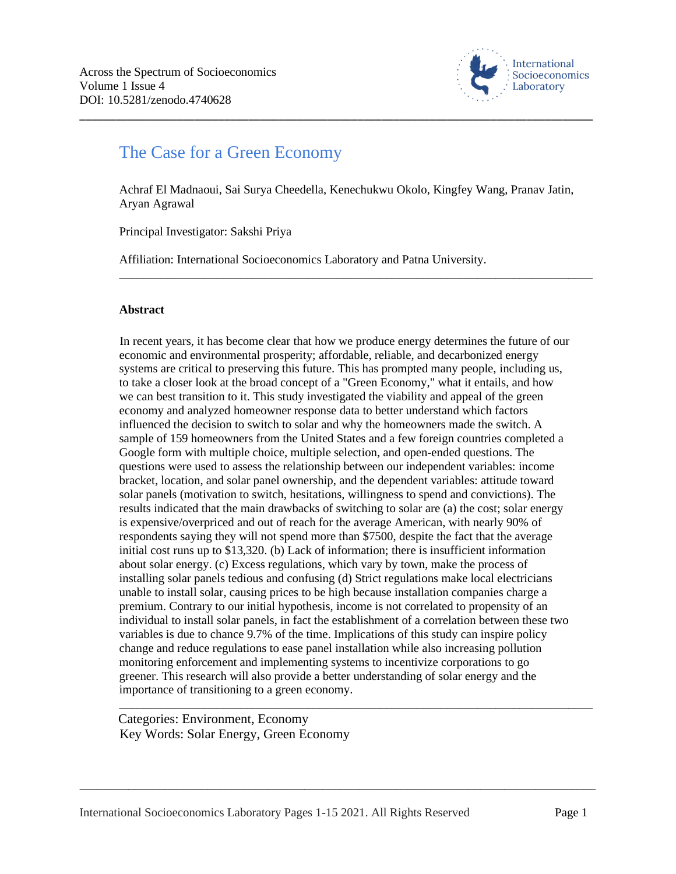

# The Case for a Green Economy

Achraf El Madnaoui, Sai Surya Cheedella, Kenechukwu Okolo, Kingfey Wang, Pranav Jatin, Aryan Agrawal

\_\_\_\_\_\_\_\_\_\_\_\_\_\_\_\_\_\_\_\_\_\_\_\_\_\_\_\_\_\_\_\_\_\_\_\_\_\_\_\_\_\_\_\_\_\_\_\_\_\_\_\_\_\_\_\_\_\_\_\_\_\_\_\_\_\_\_\_\_\_\_\_\_\_\_\_\_\_

\_\_\_\_\_\_\_\_\_\_\_\_\_\_\_\_\_\_\_\_\_\_\_\_\_\_\_\_\_\_\_\_\_\_\_\_\_\_\_\_\_\_\_\_\_\_\_\_\_\_\_\_\_\_\_\_\_\_\_\_\_\_\_\_\_\_\_\_\_\_\_\_\_\_\_\_\_\_\_\_\_\_\_\_\_

Principal Investigator: Sakshi Priya

Affiliation: International Socioeconomics Laboratory and Patna University.

#### **Abstract**

In recent years, it has become clear that how we produce energy determines the future of our economic and environmental prosperity; affordable, reliable, and decarbonized energy systems are critical to preserving this future. This has prompted many people, including us, to take a closer look at the broad concept of a "Green Economy," what it entails, and how we can best transition to it. This study investigated the viability and appeal of the green economy and analyzed homeowner response data to better understand which factors influenced the decision to switch to solar and why the homeowners made the switch. A sample of 159 homeowners from the United States and a few foreign countries completed a Google form with multiple choice, multiple selection, and open-ended questions. The questions were used to assess the relationship between our independent variables: income bracket, location, and solar panel ownership, and the dependent variables: attitude toward solar panels (motivation to switch, hesitations, willingness to spend and convictions). The results indicated that the main drawbacks of switching to solar are (a) the cost; solar energy is expensive/overpriced and out of reach for the average American, with nearly 90% of respondents saying they will not spend more than \$7500, despite the fact that the average initial cost runs up to \$13,320. (b) Lack of information; there is insufficient information about solar energy. (c) Excess regulations, which vary by town, make the process of installing solar panels tedious and confusing (d) Strict regulations make local electricians unable to install solar, causing prices to be high because installation companies charge a premium. Contrary to our initial hypothesis, income is not correlated to propensity of an individual to install solar panels, in fact the establishment of a correlation between these two variables is due to chance 9.7% of the time. Implications of this study can inspire policy change and reduce regulations to ease panel installation while also increasing pollution monitoring enforcement and implementing systems to incentivize corporations to go greener. This research will also provide a better understanding of solar energy and the importance of transitioning to a green economy.

\_\_\_\_\_\_\_\_\_\_\_\_\_\_\_\_\_\_\_\_\_\_\_\_\_\_\_\_\_\_\_\_\_\_\_\_\_\_\_\_\_\_\_\_\_\_\_\_\_\_\_\_\_\_\_\_\_\_\_\_\_\_\_\_\_\_\_\_\_\_\_\_\_\_\_\_\_\_\_\_\_\_\_\_\_

\_\_\_\_\_\_\_\_\_\_\_\_\_\_\_\_\_\_\_\_\_\_\_\_\_\_\_\_\_\_\_\_\_\_\_\_\_\_\_\_\_\_\_\_\_\_\_\_\_\_\_\_\_\_\_\_\_\_\_\_\_\_\_\_\_\_\_\_\_\_\_\_\_\_\_\_\_\_

Categories: Environment, Economy Key Words: Solar Energy, Green Economy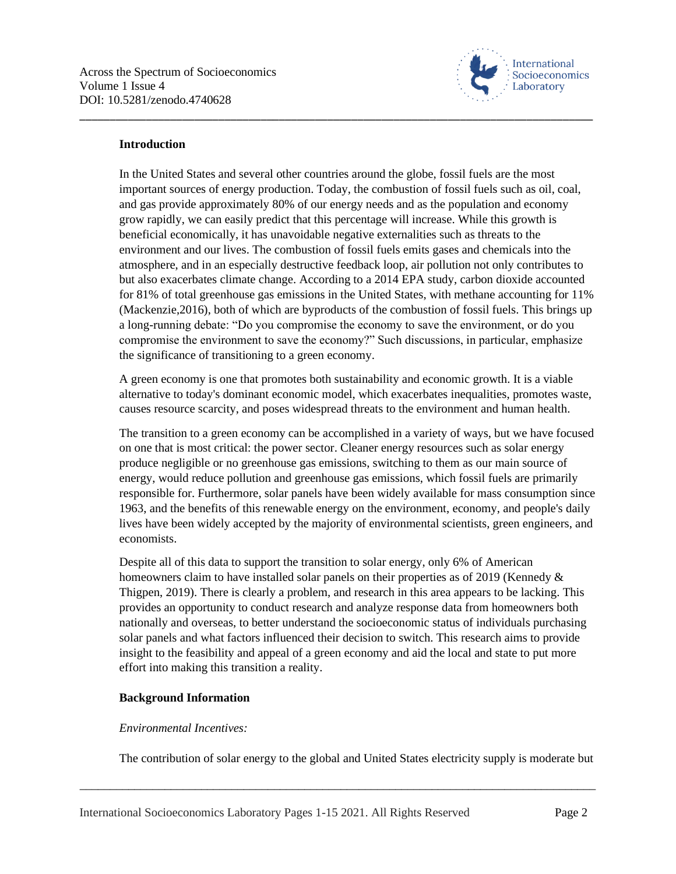

### **Introduction**

In the United States and several other countries around the globe, fossil fuels are the most important sources of energy production. Today, the combustion of fossil fuels such as oil, coal, and gas provide approximately 80% of our energy needs and as the population and economy grow rapidly, we can easily predict that this percentage will increase. While this growth is beneficial economically, it has unavoidable negative externalities such as threats to the environment and our lives. The combustion of fossil fuels emits gases and chemicals into the atmosphere, and in an especially destructive feedback loop, air pollution not only contributes to but also exacerbates climate change. According to a 2014 EPA study, carbon dioxide accounted for 81% of total greenhouse gas emissions in the United States, with methane accounting for 11% (Mackenzie,2016), both of which are byproducts of the combustion of fossil fuels. This brings up a long-running debate: "Do you compromise the economy to save the environment, or do you compromise the environment to save the economy?" Such discussions, in particular, emphasize the significance of transitioning to a green economy.

\_\_\_\_\_\_\_\_\_\_\_\_\_\_\_\_\_\_\_\_\_\_\_\_\_\_\_\_\_\_\_\_\_\_\_\_\_\_\_\_\_\_\_\_\_\_\_\_\_\_\_\_\_\_\_\_\_\_\_\_\_\_\_\_\_\_\_\_\_\_\_\_\_\_\_\_\_\_\_\_\_\_\_\_\_

A green economy is one that promotes both sustainability and economic growth. It is a viable alternative to today's dominant economic model, which exacerbates inequalities, promotes waste, causes resource scarcity, and poses widespread threats to the environment and human health.

The transition to a green economy can be accomplished in a variety of ways, but we have focused on one that is most critical: the power sector. Cleaner energy resources such as solar energy produce negligible or no greenhouse gas emissions, switching to them as our main source of energy, would reduce pollution and greenhouse gas emissions, which fossil fuels are primarily responsible for. Furthermore, solar panels have been widely available for mass consumption since 1963, and the benefits of this renewable energy on the environment, economy, and people's daily lives have been widely accepted by the majority of environmental scientists, green engineers, and economists.

Despite all of this data to support the transition to solar energy, only 6% of American homeowners claim to have installed solar panels on their properties as of 2019 (Kennedy & Thigpen, 2019). There is clearly a problem, and research in this area appears to be lacking. This provides an opportunity to conduct research and analyze response data from homeowners both nationally and overseas, to better understand the socioeconomic status of individuals purchasing solar panels and what factors influenced their decision to switch. This research aims to provide insight to the feasibility and appeal of a green economy and aid the local and state to put more effort into making this transition a reality.

### **Background Information**

### *Environmental Incentives:*

The contribution of solar energy to the global and United States electricity supply is moderate but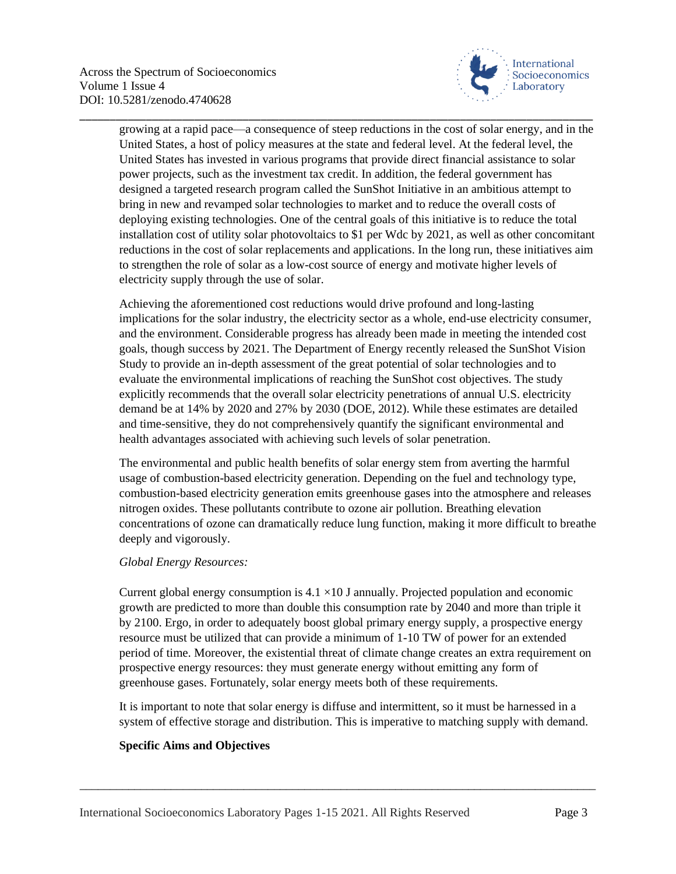

growing at a rapid pace—a consequence of steep reductions in the cost of solar energy, and in the United States, a host of policy measures at the state and federal level. At the federal level, the United States has invested in various programs that provide direct financial assistance to solar power projects, such as the investment tax credit. In addition, the federal government has designed a targeted research program called the SunShot Initiative in an ambitious attempt to bring in new and revamped solar technologies to market and to reduce the overall costs of deploying existing technologies. One of the central goals of this initiative is to reduce the total installation cost of utility solar photovoltaics to \$1 per Wdc by 2021, as well as other concomitant reductions in the cost of solar replacements and applications. In the long run, these initiatives aim to strengthen the role of solar as a low-cost source of energy and motivate higher levels of electricity supply through the use of solar.

\_\_\_\_\_\_\_\_\_\_\_\_\_\_\_\_\_\_\_\_\_\_\_\_\_\_\_\_\_\_\_\_\_\_\_\_\_\_\_\_\_\_\_\_\_\_\_\_\_\_\_\_\_\_\_\_\_\_\_\_\_\_\_\_\_\_\_\_\_\_\_\_\_\_\_\_\_\_\_\_\_\_\_\_\_

Achieving the aforementioned cost reductions would drive profound and long-lasting implications for the solar industry, the electricity sector as a whole, end-use electricity consumer, and the environment. Considerable progress has already been made in meeting the intended cost goals, though success by 2021. The Department of Energy recently released the SunShot Vision Study to provide an in-depth assessment of the great potential of solar technologies and to evaluate the environmental implications of reaching the SunShot cost objectives. The study explicitly recommends that the overall solar electricity penetrations of annual U.S. electricity demand be at 14% by 2020 and 27% by 2030 (DOE, 2012). While these estimates are detailed and time-sensitive, they do not comprehensively quantify the significant environmental and health advantages associated with achieving such levels of solar penetration.

The environmental and public health benefits of solar energy stem from averting the harmful usage of combustion-based electricity generation. Depending on the fuel and technology type, combustion-based electricity generation emits greenhouse gases into the atmosphere and releases nitrogen oxides. These pollutants contribute to ozone air pollution. Breathing elevation concentrations of ozone can dramatically reduce lung function, making it more difficult to breathe deeply and vigorously.

### *Global Energy Resources:*

Current global energy consumption is  $4.1 \times 10$  J annually. Projected population and economic growth are predicted to more than double this consumption rate by 2040 and more than triple it by 2100. Ergo, in order to adequately boost global primary energy supply, a prospective energy resource must be utilized that can provide a minimum of 1-10 TW of power for an extended period of time. Moreover, the existential threat of climate change creates an extra requirement on prospective energy resources: they must generate energy without emitting any form of greenhouse gases. Fortunately, solar energy meets both of these requirements.

It is important to note that solar energy is diffuse and intermittent, so it must be harnessed in a system of effective storage and distribution. This is imperative to matching supply with demand.

\_\_\_\_\_\_\_\_\_\_\_\_\_\_\_\_\_\_\_\_\_\_\_\_\_\_\_\_\_\_\_\_\_\_\_\_\_\_\_\_\_\_\_\_\_\_\_\_\_\_\_\_\_\_\_\_\_\_\_\_\_\_\_\_\_\_\_\_\_\_\_\_\_\_\_\_\_\_\_\_\_\_\_\_\_

### **Specific Aims and Objectives**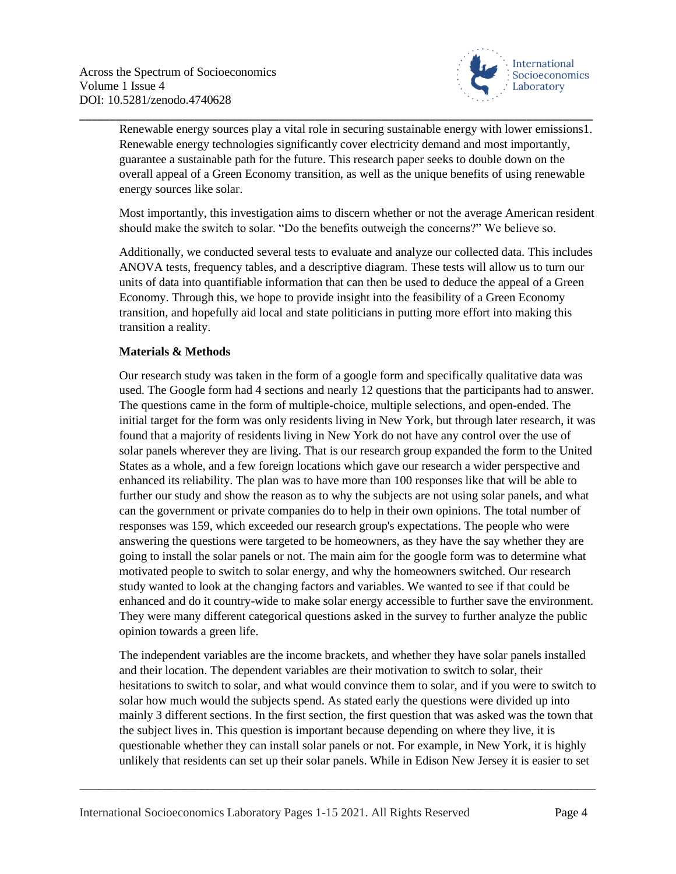

Renewable energy sources play a vital role in securing sustainable energy with lower emissions1. Renewable energy technologies significantly cover electricity demand and most importantly, guarantee a sustainable path for the future. This research paper seeks to double down on the overall appeal of a Green Economy transition, as well as the unique benefits of using renewable energy sources like solar.

\_\_\_\_\_\_\_\_\_\_\_\_\_\_\_\_\_\_\_\_\_\_\_\_\_\_\_\_\_\_\_\_\_\_\_\_\_\_\_\_\_\_\_\_\_\_\_\_\_\_\_\_\_\_\_\_\_\_\_\_\_\_\_\_\_\_\_\_\_\_\_\_\_\_\_\_\_\_\_\_\_\_\_\_\_

Most importantly, this investigation aims to discern whether or not the average American resident should make the switch to solar. "Do the benefits outweigh the concerns?" We believe so.

Additionally, we conducted several tests to evaluate and analyze our collected data. This includes ANOVA tests, frequency tables, and a descriptive diagram. These tests will allow us to turn our units of data into quantifiable information that can then be used to deduce the appeal of a Green Economy. Through this, we hope to provide insight into the feasibility of a Green Economy transition, and hopefully aid local and state politicians in putting more effort into making this transition a reality.

### **Materials & Methods**

Our research study was taken in the form of a google form and specifically qualitative data was used. The Google form had 4 sections and nearly 12 questions that the participants had to answer. The questions came in the form of multiple-choice, multiple selections, and open-ended. The initial target for the form was only residents living in New York, but through later research, it was found that a majority of residents living in New York do not have any control over the use of solar panels wherever they are living. That is our research group expanded the form to the United States as a whole, and a few foreign locations which gave our research a wider perspective and enhanced its reliability. The plan was to have more than 100 responses like that will be able to further our study and show the reason as to why the subjects are not using solar panels, and what can the government or private companies do to help in their own opinions. The total number of responses was 159, which exceeded our research group's expectations. The people who were answering the questions were targeted to be homeowners, as they have the say whether they are going to install the solar panels or not. The main aim for the google form was to determine what motivated people to switch to solar energy, and why the homeowners switched. Our research study wanted to look at the changing factors and variables. We wanted to see if that could be enhanced and do it country-wide to make solar energy accessible to further save the environment. They were many different categorical questions asked in the survey to further analyze the public opinion towards a green life.

The independent variables are the income brackets, and whether they have solar panels installed and their location. The dependent variables are their motivation to switch to solar, their hesitations to switch to solar, and what would convince them to solar, and if you were to switch to solar how much would the subjects spend. As stated early the questions were divided up into mainly 3 different sections. In the first section, the first question that was asked was the town that the subject lives in. This question is important because depending on where they live, it is questionable whether they can install solar panels or not. For example, in New York, it is highly unlikely that residents can set up their solar panels. While in Edison New Jersey it is easier to set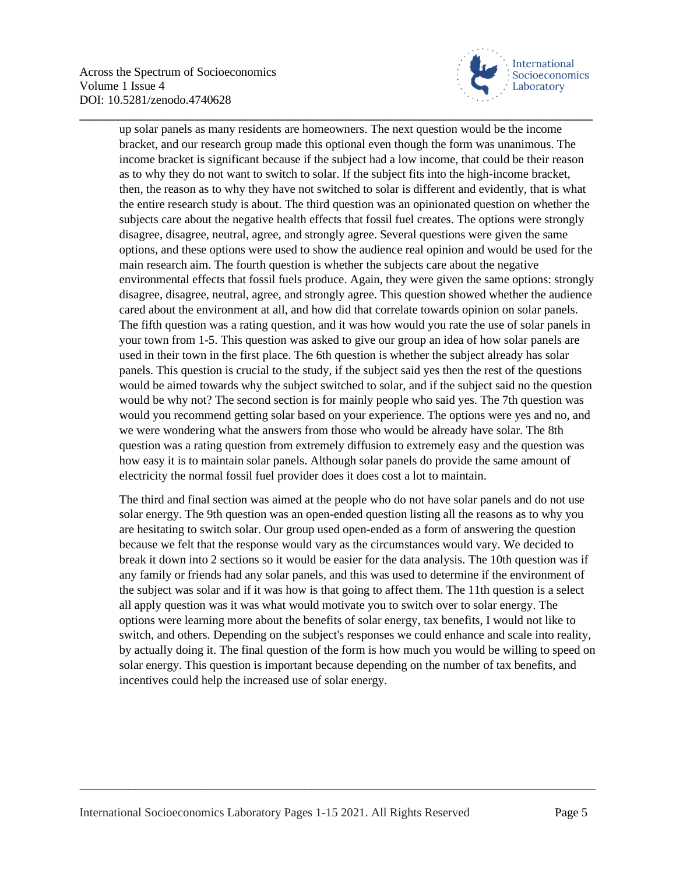

up solar panels as many residents are homeowners. The next question would be the income bracket, and our research group made this optional even though the form was unanimous. The income bracket is significant because if the subject had a low income, that could be their reason as to why they do not want to switch to solar. If the subject fits into the high-income bracket, then, the reason as to why they have not switched to solar is different and evidently, that is what the entire research study is about. The third question was an opinionated question on whether the subjects care about the negative health effects that fossil fuel creates. The options were strongly disagree, disagree, neutral, agree, and strongly agree. Several questions were given the same options, and these options were used to show the audience real opinion and would be used for the main research aim. The fourth question is whether the subjects care about the negative environmental effects that fossil fuels produce. Again, they were given the same options: strongly disagree, disagree, neutral, agree, and strongly agree. This question showed whether the audience cared about the environment at all, and how did that correlate towards opinion on solar panels. The fifth question was a rating question, and it was how would you rate the use of solar panels in your town from 1-5. This question was asked to give our group an idea of how solar panels are used in their town in the first place. The 6th question is whether the subject already has solar panels. This question is crucial to the study, if the subject said yes then the rest of the questions would be aimed towards why the subject switched to solar, and if the subject said no the question would be why not? The second section is for mainly people who said yes. The 7th question was would you recommend getting solar based on your experience. The options were yes and no, and we were wondering what the answers from those who would be already have solar. The 8th question was a rating question from extremely diffusion to extremely easy and the question was how easy it is to maintain solar panels. Although solar panels do provide the same amount of electricity the normal fossil fuel provider does it does cost a lot to maintain.

\_\_\_\_\_\_\_\_\_\_\_\_\_\_\_\_\_\_\_\_\_\_\_\_\_\_\_\_\_\_\_\_\_\_\_\_\_\_\_\_\_\_\_\_\_\_\_\_\_\_\_\_\_\_\_\_\_\_\_\_\_\_\_\_\_\_\_\_\_\_\_\_\_\_\_\_\_\_\_\_\_\_\_\_\_

The third and final section was aimed at the people who do not have solar panels and do not use solar energy. The 9th question was an open-ended question listing all the reasons as to why you are hesitating to switch solar. Our group used open-ended as a form of answering the question because we felt that the response would vary as the circumstances would vary. We decided to break it down into 2 sections so it would be easier for the data analysis. The 10th question was if any family or friends had any solar panels, and this was used to determine if the environment of the subject was solar and if it was how is that going to affect them. The 11th question is a select all apply question was it was what would motivate you to switch over to solar energy. The options were learning more about the benefits of solar energy, tax benefits, I would not like to switch, and others. Depending on the subject's responses we could enhance and scale into reality, by actually doing it. The final question of the form is how much you would be willing to speed on solar energy. This question is important because depending on the number of tax benefits, and incentives could help the increased use of solar energy.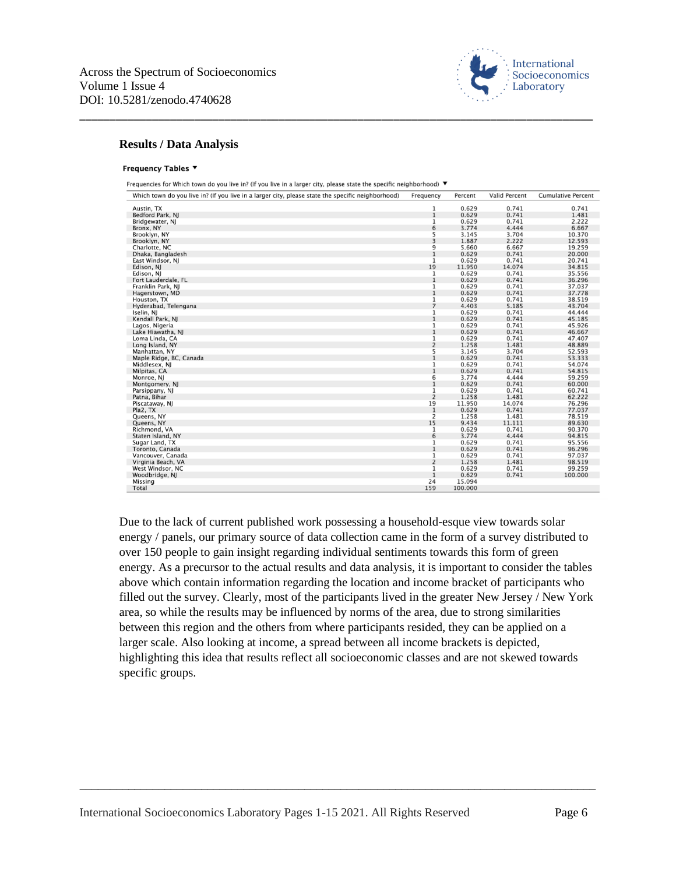

#### **Results / Data Analysis**

#### Frequency Tables ▼

Frequencies for Which town do you live in? (If you live in a larger city, please state the specific neighborhood) ▼

\_\_\_\_\_\_\_\_\_\_\_\_\_\_\_\_\_\_\_\_\_\_\_\_\_\_\_\_\_\_\_\_\_\_\_\_\_\_\_\_\_\_\_\_\_\_\_\_\_\_\_\_\_\_\_\_\_\_\_\_\_\_\_\_\_\_\_\_\_\_\_\_\_\_\_\_\_\_\_\_\_\_\_\_\_

| 0.741<br>0.629<br>0.741<br>Austin, TX<br>1<br>$\mathbf 1$<br>0.629<br>0.741<br>1.481<br>Bedford Park, NJ<br>0.629<br>0.741<br>2.222<br>1<br>Bridgewater, NJ<br>6<br>3.774<br>4.444<br>6.667<br>Bronx, NY<br>5<br>3<br>3.704<br>3.145<br>10.370<br>Brooklyn, NY<br>1.887<br>2.222<br>12.593<br>Brooklyn, NY<br>9<br>5.660<br>6.667<br>19.259<br>Charlotte, NC<br>$\mathbf{1}$<br>0.629<br>0.741<br>20,000<br>Dhaka, Bangladesh<br>0.629<br>0.741<br>1<br>20.741<br>East Windsor, NJ<br>19<br>11.950<br>14.074<br>34.815<br>Edison, NJ<br>0.629<br>Edison, NJ<br>$\mathbf{1}$<br>0.741<br>35.556<br>$1\,$<br>0.629<br>0.741<br>36.296<br>Fort Lauderdale, FL<br>0.629<br>0.741<br>Franklin Park, NJ<br>1<br>37.037<br>$\mathbf{1}$<br>0.629<br>0.741<br>37.778<br>Hagerstown, MD<br>0.629<br>0.741<br>1<br>38.519<br>Houston, TX<br>$\overline{7}$<br>4.403<br>5.185<br>43.704<br>Hyderabad, Telengana<br>0.629<br>0.741<br>1<br>44.444<br>Iselin, NJ<br>$1\,$<br>0.629<br>0.741<br>45.185<br>Kendall Park, NJ<br>0.629<br>0.741<br>45.926<br>1<br>Lagos, Nigeria<br>$\,1$<br>0.629<br>0.741<br>46.667<br>Lake Hiawatha, NJ<br>1<br>0.629<br>0.741<br>Loma Linda, CA<br>47.407<br>$\overline{2}$<br>1.258<br>1.481<br>48.889<br>Long Island, NY<br>$\begin{array}{c} 5 \\ 1 \end{array}$<br>3.145<br>3.704<br>52.593<br>Manhattan, NY<br>0.629<br>0.741<br>53.333<br>Maple Ridge, BC, Canada<br>0.629<br>0.741<br>$\,1$<br>54.074<br>Middlesex, NJ<br>$\mathbf{1}$<br>0.629<br>0.741<br>54.815<br>Milpitas, CA<br>6<br>3.774<br>4.444<br>59.259<br>Monroe, NJ<br>$\mathbf 1$<br>0.629<br>0.741<br>60,000<br>Montgomery, NJ<br>0.629<br>$\mathbf 1$<br>0.741<br>60.741<br>Parsippany, NJ<br>$\overline{2}$<br>1.258<br>1.481<br>62.222<br>Patna, Bihar<br>19<br>11.950<br>14.074<br>76.296<br>Piscataway, NJ<br>$\mathbf{1}$<br>0.629<br>0.741<br>Pla2, TX<br>77.037<br>2<br>1.258<br>1.481<br>78.519<br>Queens, NY<br>15<br>9.434<br>11.111<br>89.630<br>Queens, NY<br>0.629<br>0.741<br>$\mathbf{1}$<br>90.370<br>Richmond, VA<br>6<br>3.774<br>4.444<br>94.815<br>Staten Island, NY<br>0.629<br>Sugar Land, TX<br>1<br>0.741<br>95.556<br>$\mathbf{1}$<br>0.629<br>0.741<br>96.296<br>Toronto, Canada<br>0.629<br>$\mathbf{1}$<br>0.741<br>97.037<br>Vancouver, Canada<br>$\overline{2}$<br>1.258<br>1.481<br>98.519<br>Virginia Beach, VA<br>0.629<br>0.741<br>West Windsor, NC<br>$\mathbf 1$<br>99.259<br>$\mathbf 1$<br>0.629<br>0.741<br>100.000<br>Woodbridge, NJ<br>24<br>15.094<br>Missing<br>Total<br>159<br>100.000 | Which town do you live in? (If you live in a larger city, please state the specific neighborhood) | Frequency | Percent | <b>Valid Percent</b> | <b>Cumulative Percent</b> |
|-------------------------------------------------------------------------------------------------------------------------------------------------------------------------------------------------------------------------------------------------------------------------------------------------------------------------------------------------------------------------------------------------------------------------------------------------------------------------------------------------------------------------------------------------------------------------------------------------------------------------------------------------------------------------------------------------------------------------------------------------------------------------------------------------------------------------------------------------------------------------------------------------------------------------------------------------------------------------------------------------------------------------------------------------------------------------------------------------------------------------------------------------------------------------------------------------------------------------------------------------------------------------------------------------------------------------------------------------------------------------------------------------------------------------------------------------------------------------------------------------------------------------------------------------------------------------------------------------------------------------------------------------------------------------------------------------------------------------------------------------------------------------------------------------------------------------------------------------------------------------------------------------------------------------------------------------------------------------------------------------------------------------------------------------------------------------------------------------------------------------------------------------------------------------------------------------------------------------------------------------------------------------------------------------------------------------------------------------------------------------------------------------------------------------------------------------------------------------------------------------------------------------------|---------------------------------------------------------------------------------------------------|-----------|---------|----------------------|---------------------------|
|                                                                                                                                                                                                                                                                                                                                                                                                                                                                                                                                                                                                                                                                                                                                                                                                                                                                                                                                                                                                                                                                                                                                                                                                                                                                                                                                                                                                                                                                                                                                                                                                                                                                                                                                                                                                                                                                                                                                                                                                                                                                                                                                                                                                                                                                                                                                                                                                                                                                                                                               |                                                                                                   |           |         |                      |                           |
|                                                                                                                                                                                                                                                                                                                                                                                                                                                                                                                                                                                                                                                                                                                                                                                                                                                                                                                                                                                                                                                                                                                                                                                                                                                                                                                                                                                                                                                                                                                                                                                                                                                                                                                                                                                                                                                                                                                                                                                                                                                                                                                                                                                                                                                                                                                                                                                                                                                                                                                               |                                                                                                   |           |         |                      |                           |
|                                                                                                                                                                                                                                                                                                                                                                                                                                                                                                                                                                                                                                                                                                                                                                                                                                                                                                                                                                                                                                                                                                                                                                                                                                                                                                                                                                                                                                                                                                                                                                                                                                                                                                                                                                                                                                                                                                                                                                                                                                                                                                                                                                                                                                                                                                                                                                                                                                                                                                                               |                                                                                                   |           |         |                      |                           |
|                                                                                                                                                                                                                                                                                                                                                                                                                                                                                                                                                                                                                                                                                                                                                                                                                                                                                                                                                                                                                                                                                                                                                                                                                                                                                                                                                                                                                                                                                                                                                                                                                                                                                                                                                                                                                                                                                                                                                                                                                                                                                                                                                                                                                                                                                                                                                                                                                                                                                                                               |                                                                                                   |           |         |                      |                           |
|                                                                                                                                                                                                                                                                                                                                                                                                                                                                                                                                                                                                                                                                                                                                                                                                                                                                                                                                                                                                                                                                                                                                                                                                                                                                                                                                                                                                                                                                                                                                                                                                                                                                                                                                                                                                                                                                                                                                                                                                                                                                                                                                                                                                                                                                                                                                                                                                                                                                                                                               |                                                                                                   |           |         |                      |                           |
|                                                                                                                                                                                                                                                                                                                                                                                                                                                                                                                                                                                                                                                                                                                                                                                                                                                                                                                                                                                                                                                                                                                                                                                                                                                                                                                                                                                                                                                                                                                                                                                                                                                                                                                                                                                                                                                                                                                                                                                                                                                                                                                                                                                                                                                                                                                                                                                                                                                                                                                               |                                                                                                   |           |         |                      |                           |
|                                                                                                                                                                                                                                                                                                                                                                                                                                                                                                                                                                                                                                                                                                                                                                                                                                                                                                                                                                                                                                                                                                                                                                                                                                                                                                                                                                                                                                                                                                                                                                                                                                                                                                                                                                                                                                                                                                                                                                                                                                                                                                                                                                                                                                                                                                                                                                                                                                                                                                                               |                                                                                                   |           |         |                      |                           |
|                                                                                                                                                                                                                                                                                                                                                                                                                                                                                                                                                                                                                                                                                                                                                                                                                                                                                                                                                                                                                                                                                                                                                                                                                                                                                                                                                                                                                                                                                                                                                                                                                                                                                                                                                                                                                                                                                                                                                                                                                                                                                                                                                                                                                                                                                                                                                                                                                                                                                                                               |                                                                                                   |           |         |                      |                           |
|                                                                                                                                                                                                                                                                                                                                                                                                                                                                                                                                                                                                                                                                                                                                                                                                                                                                                                                                                                                                                                                                                                                                                                                                                                                                                                                                                                                                                                                                                                                                                                                                                                                                                                                                                                                                                                                                                                                                                                                                                                                                                                                                                                                                                                                                                                                                                                                                                                                                                                                               |                                                                                                   |           |         |                      |                           |
|                                                                                                                                                                                                                                                                                                                                                                                                                                                                                                                                                                                                                                                                                                                                                                                                                                                                                                                                                                                                                                                                                                                                                                                                                                                                                                                                                                                                                                                                                                                                                                                                                                                                                                                                                                                                                                                                                                                                                                                                                                                                                                                                                                                                                                                                                                                                                                                                                                                                                                                               |                                                                                                   |           |         |                      |                           |
|                                                                                                                                                                                                                                                                                                                                                                                                                                                                                                                                                                                                                                                                                                                                                                                                                                                                                                                                                                                                                                                                                                                                                                                                                                                                                                                                                                                                                                                                                                                                                                                                                                                                                                                                                                                                                                                                                                                                                                                                                                                                                                                                                                                                                                                                                                                                                                                                                                                                                                                               |                                                                                                   |           |         |                      |                           |
|                                                                                                                                                                                                                                                                                                                                                                                                                                                                                                                                                                                                                                                                                                                                                                                                                                                                                                                                                                                                                                                                                                                                                                                                                                                                                                                                                                                                                                                                                                                                                                                                                                                                                                                                                                                                                                                                                                                                                                                                                                                                                                                                                                                                                                                                                                                                                                                                                                                                                                                               |                                                                                                   |           |         |                      |                           |
|                                                                                                                                                                                                                                                                                                                                                                                                                                                                                                                                                                                                                                                                                                                                                                                                                                                                                                                                                                                                                                                                                                                                                                                                                                                                                                                                                                                                                                                                                                                                                                                                                                                                                                                                                                                                                                                                                                                                                                                                                                                                                                                                                                                                                                                                                                                                                                                                                                                                                                                               |                                                                                                   |           |         |                      |                           |
|                                                                                                                                                                                                                                                                                                                                                                                                                                                                                                                                                                                                                                                                                                                                                                                                                                                                                                                                                                                                                                                                                                                                                                                                                                                                                                                                                                                                                                                                                                                                                                                                                                                                                                                                                                                                                                                                                                                                                                                                                                                                                                                                                                                                                                                                                                                                                                                                                                                                                                                               |                                                                                                   |           |         |                      |                           |
|                                                                                                                                                                                                                                                                                                                                                                                                                                                                                                                                                                                                                                                                                                                                                                                                                                                                                                                                                                                                                                                                                                                                                                                                                                                                                                                                                                                                                                                                                                                                                                                                                                                                                                                                                                                                                                                                                                                                                                                                                                                                                                                                                                                                                                                                                                                                                                                                                                                                                                                               |                                                                                                   |           |         |                      |                           |
|                                                                                                                                                                                                                                                                                                                                                                                                                                                                                                                                                                                                                                                                                                                                                                                                                                                                                                                                                                                                                                                                                                                                                                                                                                                                                                                                                                                                                                                                                                                                                                                                                                                                                                                                                                                                                                                                                                                                                                                                                                                                                                                                                                                                                                                                                                                                                                                                                                                                                                                               |                                                                                                   |           |         |                      |                           |
|                                                                                                                                                                                                                                                                                                                                                                                                                                                                                                                                                                                                                                                                                                                                                                                                                                                                                                                                                                                                                                                                                                                                                                                                                                                                                                                                                                                                                                                                                                                                                                                                                                                                                                                                                                                                                                                                                                                                                                                                                                                                                                                                                                                                                                                                                                                                                                                                                                                                                                                               |                                                                                                   |           |         |                      |                           |
|                                                                                                                                                                                                                                                                                                                                                                                                                                                                                                                                                                                                                                                                                                                                                                                                                                                                                                                                                                                                                                                                                                                                                                                                                                                                                                                                                                                                                                                                                                                                                                                                                                                                                                                                                                                                                                                                                                                                                                                                                                                                                                                                                                                                                                                                                                                                                                                                                                                                                                                               |                                                                                                   |           |         |                      |                           |
|                                                                                                                                                                                                                                                                                                                                                                                                                                                                                                                                                                                                                                                                                                                                                                                                                                                                                                                                                                                                                                                                                                                                                                                                                                                                                                                                                                                                                                                                                                                                                                                                                                                                                                                                                                                                                                                                                                                                                                                                                                                                                                                                                                                                                                                                                                                                                                                                                                                                                                                               |                                                                                                   |           |         |                      |                           |
|                                                                                                                                                                                                                                                                                                                                                                                                                                                                                                                                                                                                                                                                                                                                                                                                                                                                                                                                                                                                                                                                                                                                                                                                                                                                                                                                                                                                                                                                                                                                                                                                                                                                                                                                                                                                                                                                                                                                                                                                                                                                                                                                                                                                                                                                                                                                                                                                                                                                                                                               |                                                                                                   |           |         |                      |                           |
|                                                                                                                                                                                                                                                                                                                                                                                                                                                                                                                                                                                                                                                                                                                                                                                                                                                                                                                                                                                                                                                                                                                                                                                                                                                                                                                                                                                                                                                                                                                                                                                                                                                                                                                                                                                                                                                                                                                                                                                                                                                                                                                                                                                                                                                                                                                                                                                                                                                                                                                               |                                                                                                   |           |         |                      |                           |
|                                                                                                                                                                                                                                                                                                                                                                                                                                                                                                                                                                                                                                                                                                                                                                                                                                                                                                                                                                                                                                                                                                                                                                                                                                                                                                                                                                                                                                                                                                                                                                                                                                                                                                                                                                                                                                                                                                                                                                                                                                                                                                                                                                                                                                                                                                                                                                                                                                                                                                                               |                                                                                                   |           |         |                      |                           |
|                                                                                                                                                                                                                                                                                                                                                                                                                                                                                                                                                                                                                                                                                                                                                                                                                                                                                                                                                                                                                                                                                                                                                                                                                                                                                                                                                                                                                                                                                                                                                                                                                                                                                                                                                                                                                                                                                                                                                                                                                                                                                                                                                                                                                                                                                                                                                                                                                                                                                                                               |                                                                                                   |           |         |                      |                           |
|                                                                                                                                                                                                                                                                                                                                                                                                                                                                                                                                                                                                                                                                                                                                                                                                                                                                                                                                                                                                                                                                                                                                                                                                                                                                                                                                                                                                                                                                                                                                                                                                                                                                                                                                                                                                                                                                                                                                                                                                                                                                                                                                                                                                                                                                                                                                                                                                                                                                                                                               |                                                                                                   |           |         |                      |                           |
|                                                                                                                                                                                                                                                                                                                                                                                                                                                                                                                                                                                                                                                                                                                                                                                                                                                                                                                                                                                                                                                                                                                                                                                                                                                                                                                                                                                                                                                                                                                                                                                                                                                                                                                                                                                                                                                                                                                                                                                                                                                                                                                                                                                                                                                                                                                                                                                                                                                                                                                               |                                                                                                   |           |         |                      |                           |
|                                                                                                                                                                                                                                                                                                                                                                                                                                                                                                                                                                                                                                                                                                                                                                                                                                                                                                                                                                                                                                                                                                                                                                                                                                                                                                                                                                                                                                                                                                                                                                                                                                                                                                                                                                                                                                                                                                                                                                                                                                                                                                                                                                                                                                                                                                                                                                                                                                                                                                                               |                                                                                                   |           |         |                      |                           |
|                                                                                                                                                                                                                                                                                                                                                                                                                                                                                                                                                                                                                                                                                                                                                                                                                                                                                                                                                                                                                                                                                                                                                                                                                                                                                                                                                                                                                                                                                                                                                                                                                                                                                                                                                                                                                                                                                                                                                                                                                                                                                                                                                                                                                                                                                                                                                                                                                                                                                                                               |                                                                                                   |           |         |                      |                           |
|                                                                                                                                                                                                                                                                                                                                                                                                                                                                                                                                                                                                                                                                                                                                                                                                                                                                                                                                                                                                                                                                                                                                                                                                                                                                                                                                                                                                                                                                                                                                                                                                                                                                                                                                                                                                                                                                                                                                                                                                                                                                                                                                                                                                                                                                                                                                                                                                                                                                                                                               |                                                                                                   |           |         |                      |                           |
|                                                                                                                                                                                                                                                                                                                                                                                                                                                                                                                                                                                                                                                                                                                                                                                                                                                                                                                                                                                                                                                                                                                                                                                                                                                                                                                                                                                                                                                                                                                                                                                                                                                                                                                                                                                                                                                                                                                                                                                                                                                                                                                                                                                                                                                                                                                                                                                                                                                                                                                               |                                                                                                   |           |         |                      |                           |
|                                                                                                                                                                                                                                                                                                                                                                                                                                                                                                                                                                                                                                                                                                                                                                                                                                                                                                                                                                                                                                                                                                                                                                                                                                                                                                                                                                                                                                                                                                                                                                                                                                                                                                                                                                                                                                                                                                                                                                                                                                                                                                                                                                                                                                                                                                                                                                                                                                                                                                                               |                                                                                                   |           |         |                      |                           |
|                                                                                                                                                                                                                                                                                                                                                                                                                                                                                                                                                                                                                                                                                                                                                                                                                                                                                                                                                                                                                                                                                                                                                                                                                                                                                                                                                                                                                                                                                                                                                                                                                                                                                                                                                                                                                                                                                                                                                                                                                                                                                                                                                                                                                                                                                                                                                                                                                                                                                                                               |                                                                                                   |           |         |                      |                           |
|                                                                                                                                                                                                                                                                                                                                                                                                                                                                                                                                                                                                                                                                                                                                                                                                                                                                                                                                                                                                                                                                                                                                                                                                                                                                                                                                                                                                                                                                                                                                                                                                                                                                                                                                                                                                                                                                                                                                                                                                                                                                                                                                                                                                                                                                                                                                                                                                                                                                                                                               |                                                                                                   |           |         |                      |                           |
|                                                                                                                                                                                                                                                                                                                                                                                                                                                                                                                                                                                                                                                                                                                                                                                                                                                                                                                                                                                                                                                                                                                                                                                                                                                                                                                                                                                                                                                                                                                                                                                                                                                                                                                                                                                                                                                                                                                                                                                                                                                                                                                                                                                                                                                                                                                                                                                                                                                                                                                               |                                                                                                   |           |         |                      |                           |
|                                                                                                                                                                                                                                                                                                                                                                                                                                                                                                                                                                                                                                                                                                                                                                                                                                                                                                                                                                                                                                                                                                                                                                                                                                                                                                                                                                                                                                                                                                                                                                                                                                                                                                                                                                                                                                                                                                                                                                                                                                                                                                                                                                                                                                                                                                                                                                                                                                                                                                                               |                                                                                                   |           |         |                      |                           |
|                                                                                                                                                                                                                                                                                                                                                                                                                                                                                                                                                                                                                                                                                                                                                                                                                                                                                                                                                                                                                                                                                                                                                                                                                                                                                                                                                                                                                                                                                                                                                                                                                                                                                                                                                                                                                                                                                                                                                                                                                                                                                                                                                                                                                                                                                                                                                                                                                                                                                                                               |                                                                                                   |           |         |                      |                           |
|                                                                                                                                                                                                                                                                                                                                                                                                                                                                                                                                                                                                                                                                                                                                                                                                                                                                                                                                                                                                                                                                                                                                                                                                                                                                                                                                                                                                                                                                                                                                                                                                                                                                                                                                                                                                                                                                                                                                                                                                                                                                                                                                                                                                                                                                                                                                                                                                                                                                                                                               |                                                                                                   |           |         |                      |                           |
|                                                                                                                                                                                                                                                                                                                                                                                                                                                                                                                                                                                                                                                                                                                                                                                                                                                                                                                                                                                                                                                                                                                                                                                                                                                                                                                                                                                                                                                                                                                                                                                                                                                                                                                                                                                                                                                                                                                                                                                                                                                                                                                                                                                                                                                                                                                                                                                                                                                                                                                               |                                                                                                   |           |         |                      |                           |
|                                                                                                                                                                                                                                                                                                                                                                                                                                                                                                                                                                                                                                                                                                                                                                                                                                                                                                                                                                                                                                                                                                                                                                                                                                                                                                                                                                                                                                                                                                                                                                                                                                                                                                                                                                                                                                                                                                                                                                                                                                                                                                                                                                                                                                                                                                                                                                                                                                                                                                                               |                                                                                                   |           |         |                      |                           |
|                                                                                                                                                                                                                                                                                                                                                                                                                                                                                                                                                                                                                                                                                                                                                                                                                                                                                                                                                                                                                                                                                                                                                                                                                                                                                                                                                                                                                                                                                                                                                                                                                                                                                                                                                                                                                                                                                                                                                                                                                                                                                                                                                                                                                                                                                                                                                                                                                                                                                                                               |                                                                                                   |           |         |                      |                           |
|                                                                                                                                                                                                                                                                                                                                                                                                                                                                                                                                                                                                                                                                                                                                                                                                                                                                                                                                                                                                                                                                                                                                                                                                                                                                                                                                                                                                                                                                                                                                                                                                                                                                                                                                                                                                                                                                                                                                                                                                                                                                                                                                                                                                                                                                                                                                                                                                                                                                                                                               |                                                                                                   |           |         |                      |                           |
|                                                                                                                                                                                                                                                                                                                                                                                                                                                                                                                                                                                                                                                                                                                                                                                                                                                                                                                                                                                                                                                                                                                                                                                                                                                                                                                                                                                                                                                                                                                                                                                                                                                                                                                                                                                                                                                                                                                                                                                                                                                                                                                                                                                                                                                                                                                                                                                                                                                                                                                               |                                                                                                   |           |         |                      |                           |
|                                                                                                                                                                                                                                                                                                                                                                                                                                                                                                                                                                                                                                                                                                                                                                                                                                                                                                                                                                                                                                                                                                                                                                                                                                                                                                                                                                                                                                                                                                                                                                                                                                                                                                                                                                                                                                                                                                                                                                                                                                                                                                                                                                                                                                                                                                                                                                                                                                                                                                                               |                                                                                                   |           |         |                      |                           |
|                                                                                                                                                                                                                                                                                                                                                                                                                                                                                                                                                                                                                                                                                                                                                                                                                                                                                                                                                                                                                                                                                                                                                                                                                                                                                                                                                                                                                                                                                                                                                                                                                                                                                                                                                                                                                                                                                                                                                                                                                                                                                                                                                                                                                                                                                                                                                                                                                                                                                                                               |                                                                                                   |           |         |                      |                           |
|                                                                                                                                                                                                                                                                                                                                                                                                                                                                                                                                                                                                                                                                                                                                                                                                                                                                                                                                                                                                                                                                                                                                                                                                                                                                                                                                                                                                                                                                                                                                                                                                                                                                                                                                                                                                                                                                                                                                                                                                                                                                                                                                                                                                                                                                                                                                                                                                                                                                                                                               |                                                                                                   |           |         |                      |                           |

Due to the lack of current published work possessing a household-esque view towards solar energy / panels, our primary source of data collection came in the form of a survey distributed to over 150 people to gain insight regarding individual sentiments towards this form of green energy. As a precursor to the actual results and data analysis, it is important to consider the tables above which contain information regarding the location and income bracket of participants who filled out the survey. Clearly, most of the participants lived in the greater New Jersey / New York area, so while the results may be influenced by norms of the area, due to strong similarities between this region and the others from where participants resided, they can be applied on a larger scale. Also looking at income, a spread between all income brackets is depicted, highlighting this idea that results reflect all socioeconomic classes and are not skewed towards specific groups.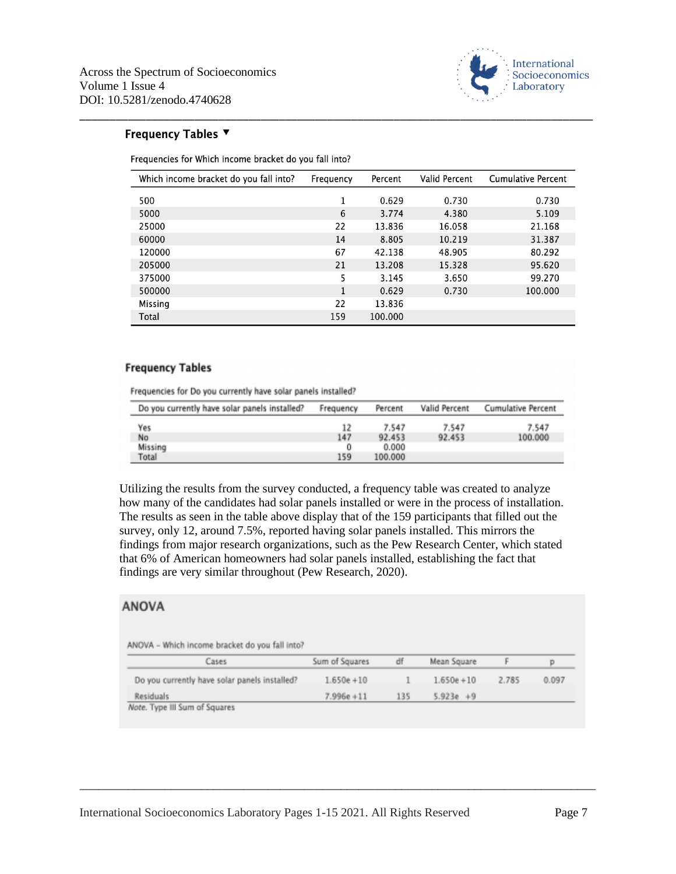

### Frequency Tables ▼

Frequencies for Which income bracket do you fall into?

| Which income bracket do you fall into? | Frequency    | Percent | Valid Percent | <b>Cumulative Percent</b> |
|----------------------------------------|--------------|---------|---------------|---------------------------|
| 500                                    | 1            | 0.629   | 0.730         | 0.730                     |
| 5000                                   | 6            | 3.774   | 4.380         | 5.109                     |
| 25000                                  | 22           | 13.836  | 16.058        | 21.168                    |
| 60000                                  | 14           | 8.805   | 10.219        | 31.387                    |
| 120000                                 | 67           | 42.138  | 48.905        | 80.292                    |
| 205000                                 | 21           | 13.208  | 15.328        | 95.620                    |
| 375000                                 | 5            | 3.145   | 3.650         | 99.270                    |
| 500000                                 | $\mathbf{1}$ | 0.629   | 0.730         | 100.000                   |
| Missing                                | 22           | 13.836  |               |                           |
| Total                                  | 159          | 100.000 |               |                           |

\_\_\_\_\_\_\_\_\_\_\_\_\_\_\_\_\_\_\_\_\_\_\_\_\_\_\_\_\_\_\_\_\_\_\_\_\_\_\_\_\_\_\_\_\_\_\_\_\_\_\_\_\_\_\_\_\_\_\_\_\_\_\_\_\_\_\_\_\_\_\_\_\_\_\_\_\_\_\_\_\_\_\_\_\_

#### **Frequency Tables**

Frequencies for Do you currently have solar panels installed?

| Do you currently have solar panels installed? | Frequency | Percent | Valid Percent | Cumulative Percent |
|-----------------------------------------------|-----------|---------|---------------|--------------------|
| Yes                                           | 12        | 7.547   | 7.547         | 7.547              |
| No                                            | 147       | 92.453  | 92.453        | 100.000            |
| Missing                                       |           | 0.000   |               |                    |
| Total                                         | 159       | 100.000 |               |                    |

Utilizing the results from the survey conducted, a frequency table was created to analyze how many of the candidates had solar panels installed or were in the process of installation. The results as seen in the table above display that of the 159 participants that filled out the survey, only 12, around 7.5%, reported having solar panels installed. This mirrors the findings from major research organizations, such as the Pew Research Center, which stated that 6% of American homeowners had solar panels installed, establishing the fact that findings are very similar throughout (Pew Research, 2020).

### **ANOVA**

ANOVA - Which income bracket do you fall into?

| Cases                                         | Sum of Squares | df  | Mean Square   |       |       |
|-----------------------------------------------|----------------|-----|---------------|-------|-------|
| Do you currently have solar panels installed? | $1.650e + 10$  |     | $1.650e + 10$ | 2.785 | 0.097 |
| Residuals                                     | $7.996e + 11$  | 135 | $5.923e + 9$  |       |       |
| Note. Type III Sum of Squares                 |                |     |               |       |       |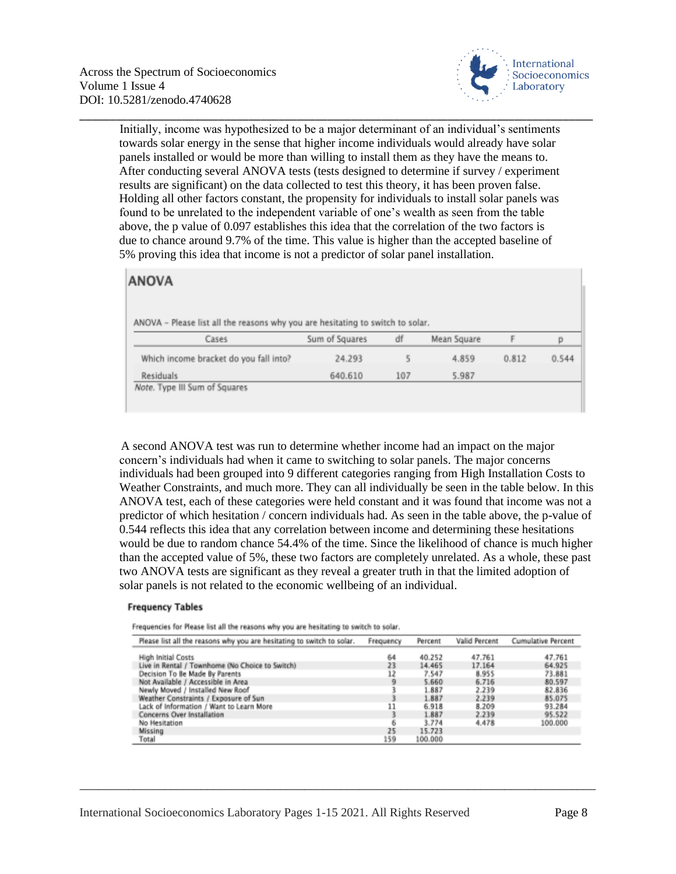

Initially, income was hypothesized to be a major determinant of an individual's sentiments towards solar energy in the sense that higher income individuals would already have solar panels installed or would be more than willing to install them as they have the means to. After conducting several ANOVA tests (tests designed to determine if survey / experiment results are significant) on the data collected to test this theory, it has been proven false. Holding all other factors constant, the propensity for individuals to install solar panels was found to be unrelated to the independent variable of one's wealth as seen from the table above, the p value of 0.097 establishes this idea that the correlation of the two factors is due to chance around 9.7% of the time. This value is higher than the accepted baseline of 5% proving this idea that income is not a predictor of solar panel installation.

\_\_\_\_\_\_\_\_\_\_\_\_\_\_\_\_\_\_\_\_\_\_\_\_\_\_\_\_\_\_\_\_\_\_\_\_\_\_\_\_\_\_\_\_\_\_\_\_\_\_\_\_\_\_\_\_\_\_\_\_\_\_\_\_\_\_\_\_\_\_\_\_\_\_\_\_\_\_\_\_\_\_\_\_\_

## **ANOVA**

ANOVA - Please list all the reasons why you are hesitating to switch to solar.

| Cases                                  | Sum of Squares | df  | Mean Square |       |       |
|----------------------------------------|----------------|-----|-------------|-------|-------|
| Which income bracket do you fall into? | 24.293         |     | 4.859       | 0.812 | 0.544 |
| <b>Residuals</b>                       | 640.610        | 107 | 5.987       |       |       |
| Note. Type III Sum of Squares          |                |     |             |       |       |

A second ANOVA test was run to determine whether income had an impact on the major concern's individuals had when it came to switching to solar panels. The major concerns individuals had been grouped into 9 different categories ranging from High Installation Costs to Weather Constraints, and much more. They can all individually be seen in the table below. In this ANOVA test, each of these categories were held constant and it was found that income was not a predictor of which hesitation / concern individuals had. As seen in the table above, the p-value of 0.544 reflects this idea that any correlation between income and determining these hesitations would be due to random chance 54.4% of the time. Since the likelihood of chance is much higher than the accepted value of 5%, these two factors are completely unrelated. As a whole, these past two ANOVA tests are significant as they reveal a greater truth in that the limited adoption of solar panels is not related to the economic wellbeing of an individual.

#### **Frequency Tables**

Frequencies for Please list all the reasons why you are hesitating to switch to solar.

| Please list all the reasons why you are hesitating to switch to solar. | Frequency | Percent | Valid Percent | Cumulative Percent |
|------------------------------------------------------------------------|-----------|---------|---------------|--------------------|
| High Initial Costs                                                     | 64        | 40.252  | 47.761        | 47.761             |
| Live in Rental / Townhome (No Choice to Switch)                        | 23        | 14.465  | 17.164        | 64.925             |
| Decision To Be Made By Parents                                         | 12        | 7.547   | 8.955         | 73.881             |
| Not Available / Accessible in Area                                     | ٩         | 5.660   | 6.716         | 80.597             |
| Newly Moved / Installed New Roof                                       |           | 1.887   | 2.239         | 82.836             |
| Weather Constraints / Exposure of Sun                                  |           | 1.887   | 2.239         | 85.075             |
| Lack of Information / Want to Learn More                               | 11        | 6.918   | 8.209         | 93.284             |
| Concerns Over Installation                                             |           | 1.887   | 2.239         | 95.522             |
| No Hesitation                                                          | ĸ         | 3.774   | 4,478         | 100,000            |
| Missing                                                                | 25        | 15.723  |               |                    |
| Total                                                                  | 159       | 100.000 |               |                    |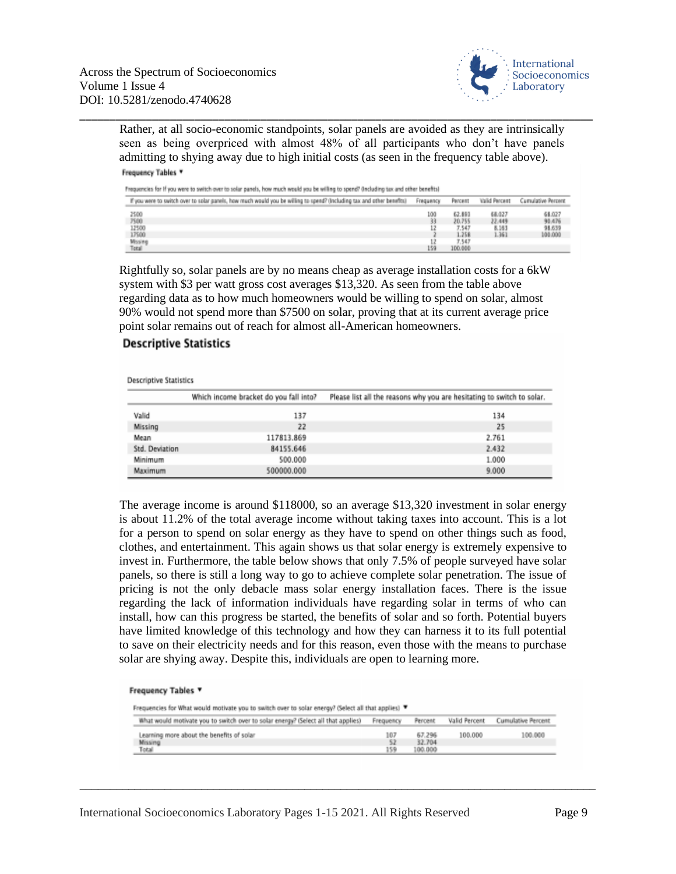

Rather, at all socio-economic standpoints, solar panels are avoided as they are intrinsically seen as being overpriced with almost 48% of all participants who don't have panels admitting to shying away due to high initial costs (as seen in the frequency table above). Frequency Tables

\_\_\_\_\_\_\_\_\_\_\_\_\_\_\_\_\_\_\_\_\_\_\_\_\_\_\_\_\_\_\_\_\_\_\_\_\_\_\_\_\_\_\_\_\_\_\_\_\_\_\_\_\_\_\_\_\_\_\_\_\_\_\_\_\_\_\_\_\_\_\_\_\_\_\_\_\_\_\_\_\_\_\_\_\_

Frequencies for if you were to switch over to solar panels, how much would you be willing to spend? (including tax and other benefits)

| If you were to switch over to solar ganels, how much would you be willing to spend? (Including tax and other benefits) | <b><i><u><u>Frequency</u></u></i></b> | PHYCHIST | <b>Valid Percent</b> | Cumulative Percent |
|------------------------------------------------------------------------------------------------------------------------|---------------------------------------|----------|----------------------|--------------------|
| 2500<br>7500<br>12500<br>17500<br>Missing<br>Total                                                                     | LΟO                                   | 62.891   | 68.027               | 68.027             |
|                                                                                                                        |                                       | 20.755   | 22,449               | 90.476             |
|                                                                                                                        |                                       | 7.547    | 8.163                | 98.639             |
|                                                                                                                        |                                       | 1.258    | 1.361                | 100.000            |
|                                                                                                                        |                                       | 7.547    |                      |                    |
|                                                                                                                        | 459                                   | 100.000  |                      |                    |

Rightfully so, solar panels are by no means cheap as average installation costs for a 6kW system with \$3 per watt gross cost averages \$13,320. As seen from the table above regarding data as to how much homeowners would be willing to spend on solar, almost 90% would not spend more than \$7500 on solar, proving that at its current average price point solar remains out of reach for almost all-American homeowners.

#### **Descriptive Statistics**

| Descriptive Statistics |                                        |                                                                        |
|------------------------|----------------------------------------|------------------------------------------------------------------------|
|                        | Which income bracket do you fall into? | Please list all the reasons why you are hesitating to switch to solar. |
| Valid                  | 137                                    | 134                                                                    |
| Missing                | 22                                     | 25                                                                     |
| Mean                   | 117813.869                             | 2.761                                                                  |
| Std. Deviation         | 84155.646                              | 2.432                                                                  |
| Minimum                | 500.000                                | 1.000                                                                  |
| Maximum                | 500000.000                             | 9.000                                                                  |

The average income is around \$118000, so an average \$13,320 investment in solar energy is about 11.2% of the total average income without taking taxes into account. This is a lot for a person to spend on solar energy as they have to spend on other things such as food, clothes, and entertainment. This again shows us that solar energy is extremely expensive to invest in. Furthermore, the table below shows that only 7.5% of people surveyed have solar panels, so there is still a long way to go to achieve complete solar penetration. The issue of pricing is not the only debacle mass solar energy installation faces. There is the issue regarding the lack of information individuals have regarding solar in terms of who can install, how can this progress be started, the benefits of solar and so forth. Potential buyers have limited knowledge of this technology and how they can harness it to its full potential to save on their electricity needs and for this reason, even those with the means to purchase solar are shying away. Despite this, individuals are open to learning more.

#### Frequency Tables ▼

Frequencies for What would motivate you to switch over to solar energy? (Select all that applies) T

| What would motivate you to switch over to solar energy? (Select all that applies) | Frequency | Percent           | Valid Percent | <b>Cumulative Percent</b> |
|-----------------------------------------------------------------------------------|-----------|-------------------|---------------|---------------------------|
| Learning more about the benefits of solar                                         | 107       | 67.296            | 100.000       | 100.000                   |
| Missing<br>Total                                                                  | 52<br>159 | 32,704<br>100.000 |               |                           |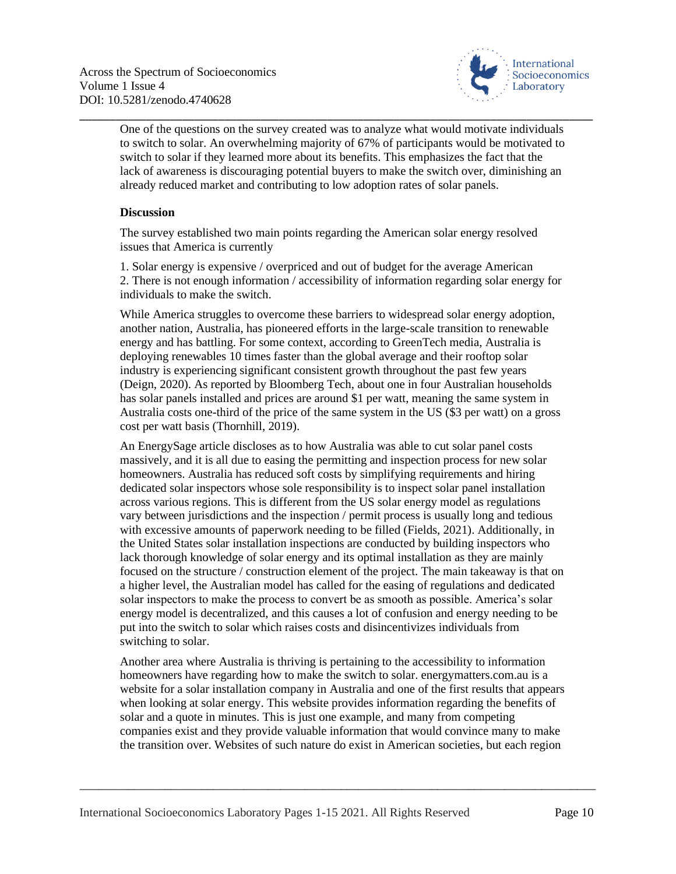

One of the questions on the survey created was to analyze what would motivate individuals to switch to solar. An overwhelming majority of 67% of participants would be motivated to switch to solar if they learned more about its benefits. This emphasizes the fact that the lack of awareness is discouraging potential buyers to make the switch over, diminishing an already reduced market and contributing to low adoption rates of solar panels.

\_\_\_\_\_\_\_\_\_\_\_\_\_\_\_\_\_\_\_\_\_\_\_\_\_\_\_\_\_\_\_\_\_\_\_\_\_\_\_\_\_\_\_\_\_\_\_\_\_\_\_\_\_\_\_\_\_\_\_\_\_\_\_\_\_\_\_\_\_\_\_\_\_\_\_\_\_\_\_\_\_\_\_\_\_

### **Discussion**

The survey established two main points regarding the American solar energy resolved issues that America is currently

1. Solar energy is expensive / overpriced and out of budget for the average American 2. There is not enough information / accessibility of information regarding solar energy for individuals to make the switch.

While America struggles to overcome these barriers to widespread solar energy adoption, another nation, Australia, has pioneered efforts in the large-scale transition to renewable energy and has battling. For some context, according to GreenTech media, Australia is deploying renewables 10 times faster than the global average and their rooftop solar industry is experiencing significant consistent growth throughout the past few years (Deign, 2020). As reported by Bloomberg Tech, about one in four Australian households has solar panels installed and prices are around \$1 per watt, meaning the same system in Australia costs one-third of the price of the same system in the US (\$3 per watt) on a gross cost per watt basis (Thornhill, 2019).

An EnergySage article discloses as to how Australia was able to cut solar panel costs massively, and it is all due to easing the permitting and inspection process for new solar homeowners. Australia has reduced soft costs by simplifying requirements and hiring dedicated solar inspectors whose sole responsibility is to inspect solar panel installation across various regions. This is different from the US solar energy model as regulations vary between jurisdictions and the inspection / permit process is usually long and tedious with excessive amounts of paperwork needing to be filled (Fields, 2021). Additionally, in the United States solar installation inspections are conducted by building inspectors who lack thorough knowledge of solar energy and its optimal installation as they are mainly focused on the structure / construction element of the project. The main takeaway is that on a higher level, the Australian model has called for the easing of regulations and dedicated solar inspectors to make the process to convert be as smooth as possible. America's solar energy model is decentralized, and this causes a lot of confusion and energy needing to be put into the switch to solar which raises costs and disincentivizes individuals from switching to solar.

Another area where Australia is thriving is pertaining to the accessibility to information homeowners have regarding how to make the switch to solar. energymatters.com.au is a website for a solar installation company in Australia and one of the first results that appears when looking at solar energy. This website provides information regarding the benefits of solar and a quote in minutes. This is just one example, and many from competing companies exist and they provide valuable information that would convince many to make the transition over. Websites of such nature do exist in American societies, but each region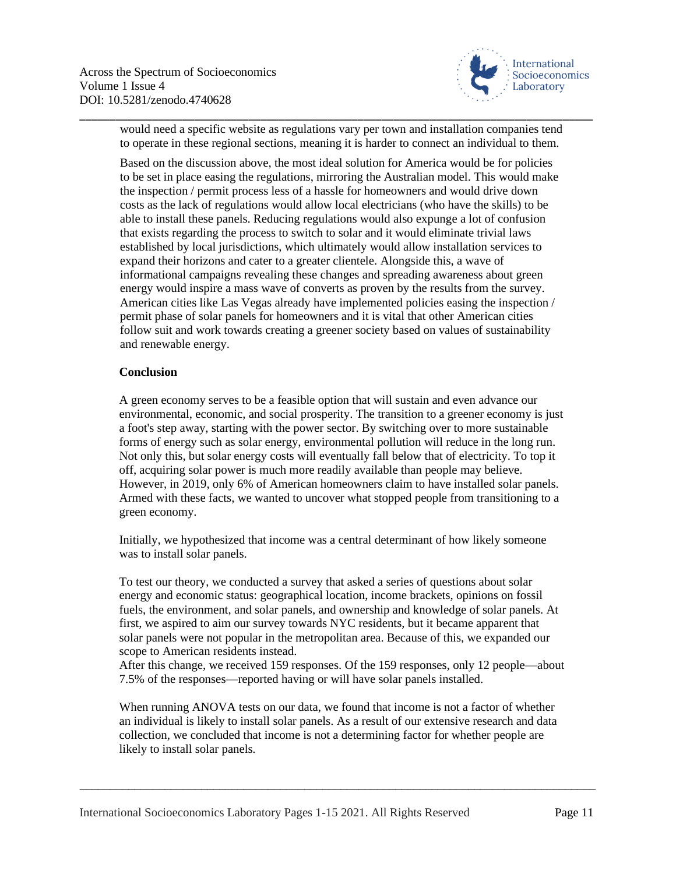

would need a specific website as regulations vary per town and installation companies tend to operate in these regional sections, meaning it is harder to connect an individual to them.

\_\_\_\_\_\_\_\_\_\_\_\_\_\_\_\_\_\_\_\_\_\_\_\_\_\_\_\_\_\_\_\_\_\_\_\_\_\_\_\_\_\_\_\_\_\_\_\_\_\_\_\_\_\_\_\_\_\_\_\_\_\_\_\_\_\_\_\_\_\_\_\_\_\_\_\_\_\_\_\_\_\_\_\_\_

Based on the discussion above, the most ideal solution for America would be for policies to be set in place easing the regulations, mirroring the Australian model. This would make the inspection / permit process less of a hassle for homeowners and would drive down costs as the lack of regulations would allow local electricians (who have the skills) to be able to install these panels. Reducing regulations would also expunge a lot of confusion that exists regarding the process to switch to solar and it would eliminate trivial laws established by local jurisdictions, which ultimately would allow installation services to expand their horizons and cater to a greater clientele. Alongside this, a wave of informational campaigns revealing these changes and spreading awareness about green energy would inspire a mass wave of converts as proven by the results from the survey. American cities like Las Vegas already have implemented policies easing the inspection / permit phase of solar panels for homeowners and it is vital that other American cities follow suit and work towards creating a greener society based on values of sustainability and renewable energy.

#### **Conclusion**

A green economy serves to be a feasible option that will sustain and even advance our environmental, economic, and social prosperity. The transition to a greener economy is just a foot's step away, starting with the power sector. By switching over to more sustainable forms of energy such as solar energy, environmental pollution will reduce in the long run. Not only this, but solar energy costs will eventually fall below that of electricity. To top it off, acquiring solar power is much more readily available than people may believe. However, in 2019, only 6% of American homeowners claim to have installed solar panels. Armed with these facts, we wanted to uncover what stopped people from transitioning to a green economy.

Initially, we hypothesized that income was a central determinant of how likely someone was to install solar panels.

To test our theory, we conducted a survey that asked a series of questions about solar energy and economic status: geographical location, income brackets, opinions on fossil fuels, the environment, and solar panels, and ownership and knowledge of solar panels. At first, we aspired to aim our survey towards NYC residents, but it became apparent that solar panels were not popular in the metropolitan area. Because of this, we expanded our scope to American residents instead.

After this change, we received 159 responses. Of the 159 responses, only 12 people—about 7.5% of the responses—reported having or will have solar panels installed.

When running ANOVA tests on our data, we found that income is not a factor of whether an individual is likely to install solar panels. As a result of our extensive research and data collection, we concluded that income is not a determining factor for whether people are likely to install solar panels.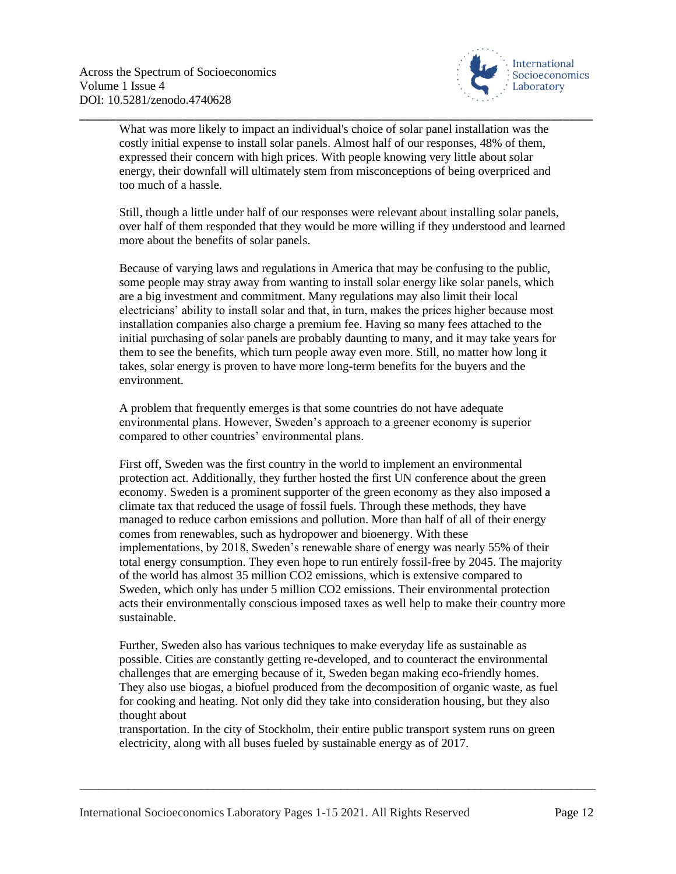

What was more likely to impact an individual's choice of solar panel installation was the costly initial expense to install solar panels. Almost half of our responses, 48% of them, expressed their concern with high prices. With people knowing very little about solar energy, their downfall will ultimately stem from misconceptions of being overpriced and too much of a hassle.

\_\_\_\_\_\_\_\_\_\_\_\_\_\_\_\_\_\_\_\_\_\_\_\_\_\_\_\_\_\_\_\_\_\_\_\_\_\_\_\_\_\_\_\_\_\_\_\_\_\_\_\_\_\_\_\_\_\_\_\_\_\_\_\_\_\_\_\_\_\_\_\_\_\_\_\_\_\_\_\_\_\_\_\_\_

Still, though a little under half of our responses were relevant about installing solar panels, over half of them responded that they would be more willing if they understood and learned more about the benefits of solar panels.

Because of varying laws and regulations in America that may be confusing to the public, some people may stray away from wanting to install solar energy like solar panels, which are a big investment and commitment. Many regulations may also limit their local electricians' ability to install solar and that, in turn, makes the prices higher because most installation companies also charge a premium fee. Having so many fees attached to the initial purchasing of solar panels are probably daunting to many, and it may take years for them to see the benefits, which turn people away even more. Still, no matter how long it takes, solar energy is proven to have more long-term benefits for the buyers and the environment.

A problem that frequently emerges is that some countries do not have adequate environmental plans. However, Sweden's approach to a greener economy is superior compared to other countries' environmental plans.

First off, Sweden was the first country in the world to implement an environmental protection act. Additionally, they further hosted the first UN conference about the green economy. Sweden is a prominent supporter of the green economy as they also imposed a climate tax that reduced the usage of fossil fuels. Through these methods, they have managed to reduce carbon emissions and pollution. More than half of all of their energy comes from renewables, such as hydropower and bioenergy. With these implementations, by 2018, Sweden's renewable share of energy was nearly 55% of their total energy consumption. They even hope to run entirely fossil-free by 2045. The majority of the world has almost 35 million CO2 emissions, which is extensive compared to Sweden, which only has under 5 million CO2 emissions. Their environmental protection acts their environmentally conscious imposed taxes as well help to make their country more sustainable.

Further, Sweden also has various techniques to make everyday life as sustainable as possible. Cities are constantly getting re-developed, and to counteract the environmental challenges that are emerging because of it, Sweden began making eco-friendly homes. They also use biogas, a biofuel produced from the decomposition of organic waste, as fuel for cooking and heating. Not only did they take into consideration housing, but they also thought about

transportation. In the city of Stockholm, their entire public transport system runs on green electricity, along with all buses fueled by sustainable energy as of 2017.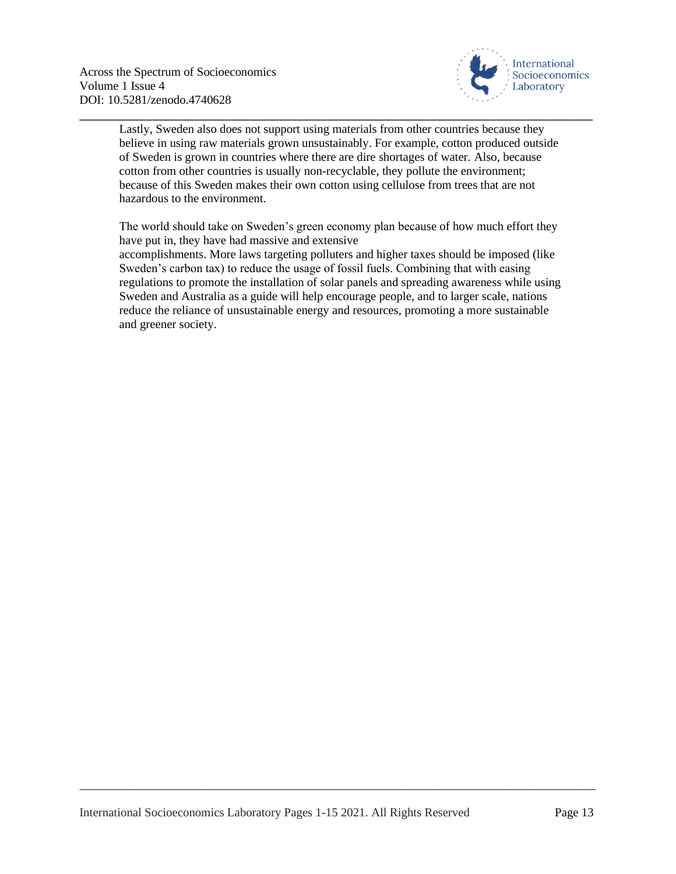

Lastly, Sweden also does not support using materials from other countries because they believe in using raw materials grown unsustainably. For example, cotton produced outside of Sweden is grown in countries where there are dire shortages of water. Also, because cotton from other countries is usually non-recyclable, they pollute the environment; because of this Sweden makes their own cotton using cellulose from trees that are not hazardous to the environment.

\_\_\_\_\_\_\_\_\_\_\_\_\_\_\_\_\_\_\_\_\_\_\_\_\_\_\_\_\_\_\_\_\_\_\_\_\_\_\_\_\_\_\_\_\_\_\_\_\_\_\_\_\_\_\_\_\_\_\_\_\_\_\_\_\_\_\_\_\_\_\_\_\_\_\_\_\_\_\_\_\_\_\_\_\_

The world should take on Sweden's green economy plan because of how much effort they have put in, they have had massive and extensive accomplishments. More laws targeting polluters and higher taxes should be imposed (like Sweden's carbon tax) to reduce the usage of fossil fuels. Combining that with easing regulations to promote the installation of solar panels and spreading awareness while using Sweden and Australia as a guide will help encourage people, and to larger scale, nations reduce the reliance of unsustainable energy and resources, promoting a more sustainable and greener society.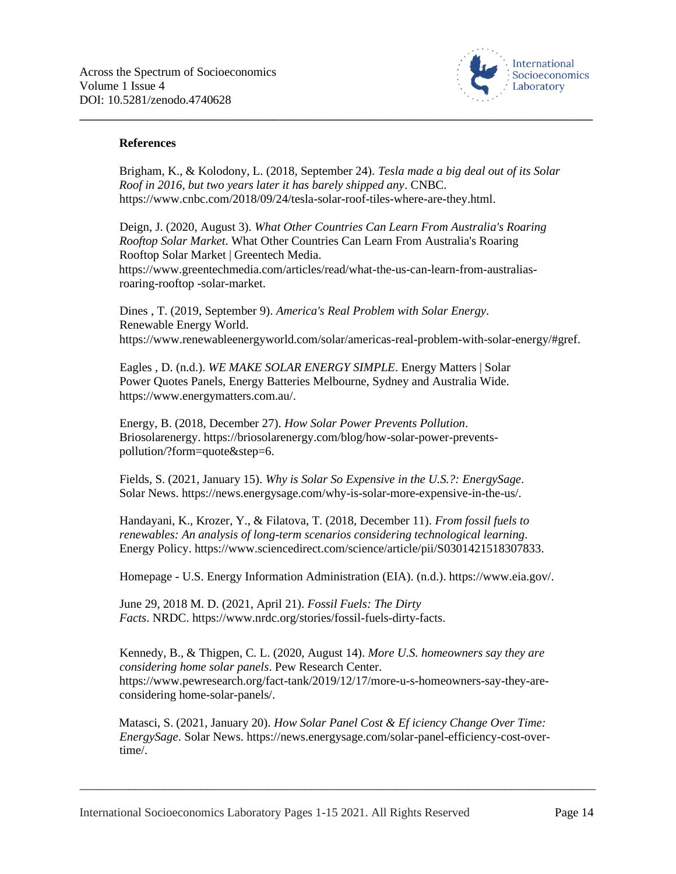

#### **References**

Brigham, K., & Kolodony, L. (2018, September 24). *Tesla made a big deal out of its Solar Roof in 2016, but two years later it has barely shipped any*. CNBC. https://www.cnbc.com/2018/09/24/tesla-solar-roof-tiles-where-are-they.html.

\_\_\_\_\_\_\_\_\_\_\_\_\_\_\_\_\_\_\_\_\_\_\_\_\_\_\_\_\_\_\_\_\_\_\_\_\_\_\_\_\_\_\_\_\_\_\_\_\_\_\_\_\_\_\_\_\_\_\_\_\_\_\_\_\_\_\_\_\_\_\_\_\_\_\_\_\_\_\_\_\_\_\_\_\_

Deign, J. (2020, August 3). *What Other Countries Can Learn From Australia's Roaring Rooftop Solar Market*. What Other Countries Can Learn From Australia's Roaring Rooftop Solar Market | Greentech Media.

https://www.greentechmedia.com/articles/read/what-the-us-can-learn-from-australiasroaring-rooftop -solar-market.

Dines , T. (2019, September 9). *America's Real Problem with Solar Energy*. Renewable Energy World. https://www.renewableenergyworld.com/solar/americas-real-problem-with-solar-energy/#gref.

Eagles , D. (n.d.). *WE MAKE SOLAR ENERGY SIMPLE*. Energy Matters | Solar Power Quotes Panels, Energy Batteries Melbourne, Sydney and Australia Wide. https://www.energymatters.com.au/.

Energy, B. (2018, December 27). *How Solar Power Prevents Pollution*. Briosolarenergy. https://briosolarenergy.com/blog/how-solar-power-preventspollution/?form=quote&step=6.

Fields, S. (2021, January 15). *Why is Solar So Expensive in the U.S.?: EnergySage*. Solar News. https://news.energysage.com/why-is-solar-more-expensive-in-the-us/.

Handayani, K., Krozer, Y., & Filatova, T. (2018, December 11). *From fossil fuels to renewables: An analysis of long-term scenarios considering technological learning*. Energy Policy. https://www.sciencedirect.com/science/article/pii/S0301421518307833.

Homepage - U.S. Energy Information Administration (EIA). (n.d.). https://www.eia.gov/.

June 29, 2018 M. D. (2021, April 21). *Fossil Fuels: The Dirty Facts*. NRDC. https://www.nrdc.org/stories/fossil-fuels-dirty-facts.

Kennedy, B., & Thigpen, C. L. (2020, August 14). *More U.S. homeowners say they are considering home solar panels*. Pew Research Center. https://www.pewresearch.org/fact-tank/2019/12/17/more-u-s-homeowners-say-they-areconsidering home-solar-panels/.

Matasci, S. (2021, January 20). *How Solar Panel Cost & Ef iciency Change Over Time: EnergySage*. Solar News. https://news.energysage.com/solar-panel-efficiency-cost-overtime/.